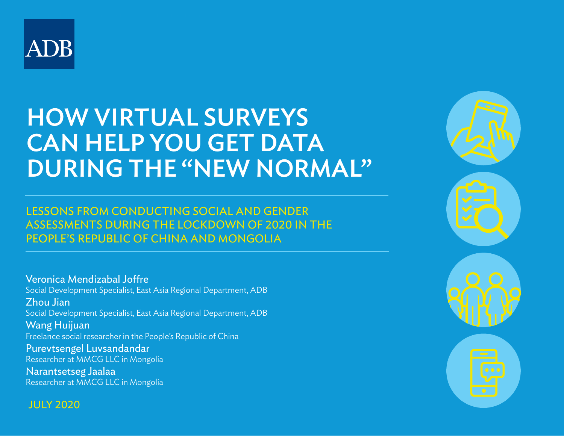

# HOW VIRTUAL SURVEYS CAN HELP YOU GET DATA DURING THE "NEW NORMAL"

## LESSONS FROM CONDUCTING SOCIAL AND GENDER ASSESSMENTS DURING THE LOCKDOWN OF 2020 IN THE PEOPLE'S REPUBLIC OF CHINA AND MONGOLIA

Veronica Mendizabal Joffre Social Development Specialist, East Asia Regional Department, ADB Zhou Jian Social Development Specialist, East Asia Regional Department, ADB Wang Huijuan Freelance social researcher in the People's Republic of China Purevtsengel Luvsandandar Researcher at MMCG LLC in Mongolia Narantsetseg Jaalaa Researcher at MMCG LLC in Mongolia

JULY 2020

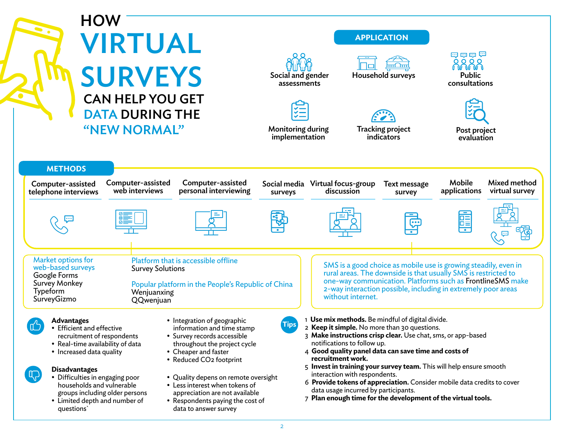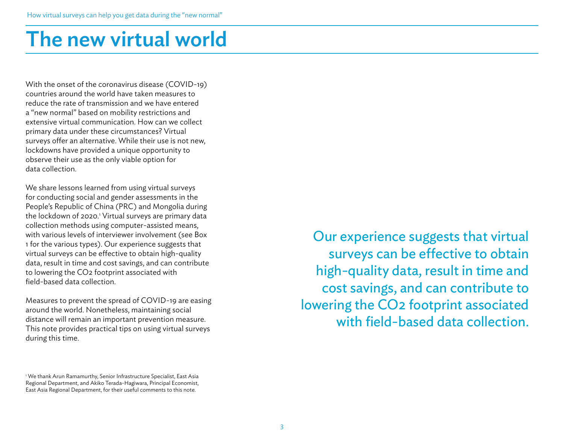# The new virtual world

With the onset of the coronavirus disease (COVID-19) countries around the world have taken measures to reduce the rate of transmission and we have entered a "new normal" based on mobility restrictions and extensive virtual communication. How can we collect primary data under these circumstances? Virtual surveys offer an alternative. While their use is not new, lockdowns have provided a unique opportunity to observe their use as the only viable option for data collection.

We share lessons learned from using virtual surveys for conducting social and gender assessments in the People's Republic of China (PRC) and Mongolia during the lockdown of 2020.<sup>1</sup> Virtual surveys are primary data collection methods using computer-assisted means, with various levels of interviewer involvement (see Box 1 for the various types). Our experience suggests that virtual surveys can be effective to obtain high-quality data, result in time and cost savings, and can contribute to lowering the CO2 footprint associated with field-based data collection.

Measures to prevent the spread of COVID-19 are easing around the world. Nonetheless, maintaining social distance will remain an important prevention measure. This note provides practical tips on using virtual surveys during this time.

1 We thank Arun Ramamurthy, Senior Infrastructure Specialist, East Asia Regional Department, and Akiko Terada-Hagiwara, Principal Economist, East Asia Regional Department, for their useful comments to this note.

Our experience suggests that virtual surveys can be effective to obtain high-quality data, result in time and cost savings, and can contribute to lowering the CO2 footprint associated with field-based data collection.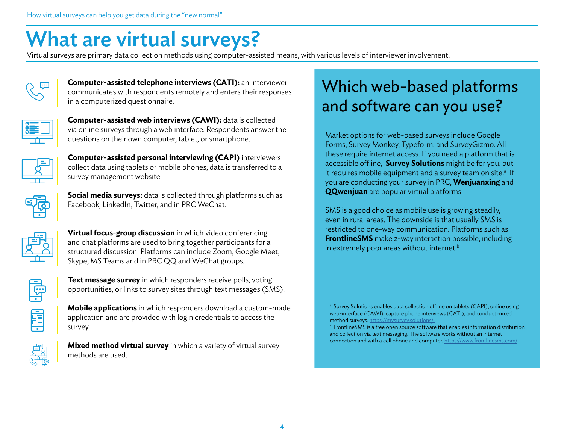# What are virtual surveys?

Virtual surveys are primary data collection methods using computer-assisted means, with various levels of interviewer involvement.



**Computer-assisted telephone interviews (CATI):** an interviewer communicates with respondents remotely and enters their responses in a computerized questionnaire.



**Computer-assisted web interviews (CAWI):** data is collected via online surveys through a web interface. Respondents answer the questions on their own computer, tablet, or smartphone.



**Computer-assisted personal interviewing (CAPI)** interviewers collect data using tablets or mobile phones; data is transferred to a survey management website.



**Social media surveys:** data is collected through platforms such as Facebook, LinkedIn, Twitter, and in PRC WeChat.



**Virtual focus-group discussion** in which video conferencing and chat platforms are used to bring together participants for a structured discussion. Platforms can include Zoom, Google Meet, Skype, MS Teams and in PRC QQ and WeChat groups.



**Fill** 

**Text message survey** in which responders receive polls, voting opportunities, or links to survey sites through text messages (SMS).

**Mobile applications** in which responders download a custom-made application and are provided with login credentials to access the survey.



**Mixed method virtual survey** in which a variety of virtual survey methods are used.

# Which web-based platforms and software can you use?

Market options for web-based surveys include Google Forms, Survey Monkey, Typeform, and SurveyGizmo. All these require internet access. If you need a platform that is accessible offline, **Survey Solutions** might be for you, but it requires mobile equipment and a survey team on site.<sup>a</sup> If you are conducting your survey in PRC, **Wenjuanxing** and **QQwenjuan** are popular virtual platforms.

SMS is a good choice as mobile use is growing steadily, even in rural areas. The downside is that usually SMS is restricted to one-way communication. Platforms such as **FrontlineSMS** make 2-way interaction possible, including in extremely poor areas without internet. $b$ 

<sup>&</sup>lt;sup>a</sup> Survey Solutions enables data collection offline on tablets (CAPI), online using web-interface (CAWI), capture phone interviews (CATI), and conduct mixed method surveys. https://mysurvey.solutions/<br> **b** FrontlineSMS is a free open source software that enables information distribution

and collection via text messaging. The software works without an internet connection and with a cell phone and computer. [https://www.frontlinesms.com/](https://www.frontlinesms.com/ )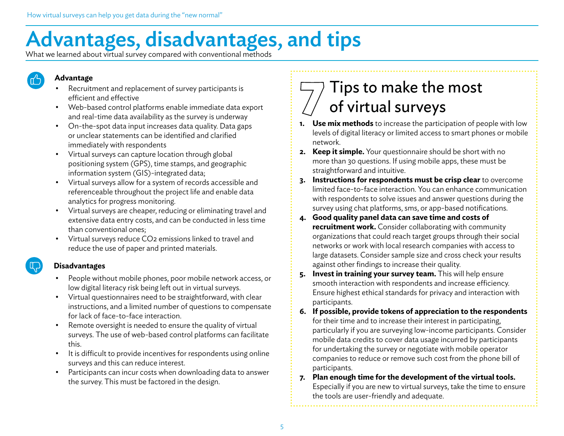# Advantages, disadvantages, and tips

What we learned about virtual survey compared with conventional methods

# **Advantage**

- Recruitment and replacement of survey participants is efficient and effective
- Web-based control platforms enable immediate data export and real-time data availability as the survey is underway
- On-the-spot data input increases data quality. Data gaps or unclear statements can be identified and clarified immediately with respondents
- Virtual surveys can capture location through global positioning system (GPS), time stamps, and geographic information system (GIS)-integrated data;
- Virtual surveys allow for a system of records accessible and referenceable throughout the project life and enable data analytics for progress monitoring.
- Virtual surveys are cheaper, reducing or eliminating travel and extensive data entry costs, and can be conducted in less time than conventional ones;
- Virtual surveys reduce CO2 emissions linked to travel and reduce the use of paper and printed materials.

#### **Disadvantages**

- People without mobile phones, poor mobile network access, or low digital literacy risk being left out in virtual surveys.
- Virtual questionnaires need to be straightforward, with clear instructions, and a limited number of questions to compensate for lack of face-to-face interaction.
- Remote oversight is needed to ensure the quality of virtual surveys. The use of web-based control platforms can facilitate this.
- It is difficult to provide incentives for respondents using online surveys and this can reduce interest.
- Participants can incur costs when downloading data to answer the survey. This must be factored in the design.

# Tips to make the most of virtual surveys

- **1. Use mix methods** to increase the participation of people with low levels of digital literacy or limited access to smart phones or mobile network.
- **2. Keep it simple.** Your questionnaire should be short with no more than 30 questions. If using mobile apps, these must be straightforward and intuitive.
- **3. Instructions for respondents must be crisp clear** to overcome limited face-to-face interaction. You can enhance communication with respondents to solve issues and answer questions during the survey using chat platforms, sms, or app-based notifications.
- **4. Good quality panel data can save time and costs of recruitment work.** Consider collaborating with community organizations that could reach target groups through their social networks or work with local research companies with access to large datasets. Consider sample size and cross check your results against other findings to increase their quality.
- **5.** Invest in training your survey team. This will help ensure smooth interaction with respondents and increase efficiency. Ensure highest ethical standards for privacy and interaction with participants.
- **6. If possible, provide tokens of appreciation to the respondents**  for their time and to increase their interest in participating, particularly if you are surveying low-income participants. Consider mobile data credits to cover data usage incurred by participants for undertaking the survey or negotiate with mobile operator companies to reduce or remove such cost from the phone bill of participants.
- **7. Plan enough time for the development of the virtual tools.**  Especially if you are new to virtual surveys, take the time to ensure the tools are user-friendly and adequate.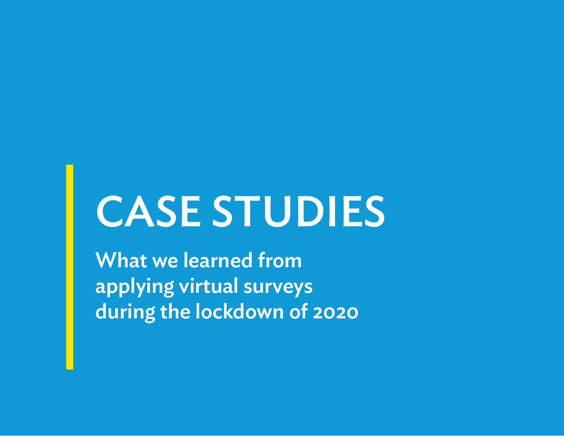# CASE STUDIES

What we learned from applying virtual surveys during the lockdown of 2020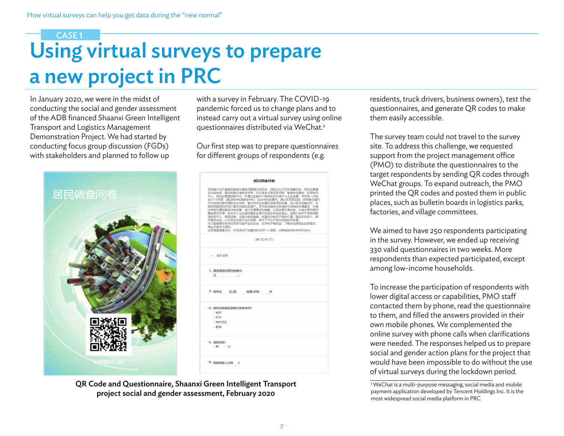# Using virtual surveys to prepare a new project in PRC CASE 1

In January 2020, we were in the midst of conducting the social and gender assessment of the ADB financed Shaanxi Green Intelligent Transport and Logistics Management Demonstration Project. We had started by conducting focus group discussion (FGDs) with stakeholders and planned to follow up



| with a survey in February. The COVID-19             |
|-----------------------------------------------------|
| pandemic forced us to change plans and to           |
| instead carry out a virtual survey using online     |
| questionnaires distributed via WeChat. <sup>2</sup> |

Our first step was to prepare questionnaires for different groups of respondents (e.g.

| 居民调查问卷                                                                                                                                                                                                                                                                                                                                                                                                                                                                                                                                    |
|-------------------------------------------------------------------------------------------------------------------------------------------------------------------------------------------------------------------------------------------------------------------------------------------------------------------------------------------------------------------------------------------------------------------------------------------------------------------------------------------------------------------------------------------|
| 陕西省计划开展绿色智慧交通物流管理示范项目,目前正处于项目准备阶段,项目主要建<br>设内容包括:建设铁路合储物流货场、无水港多式联运物流园、智慧物流基地、农贸物流<br>中心、物流业管理信息平台,并通过金融中介转贷方式支持中小企业发展。本项目一共包<br>含7个子项目,建设地点包括西安市的、延安市和安康市。通过本项目实施,陕西省在国内<br>外的地域优势将得到充分发挥, 曾内物流业发展和运营得到改善, 减少物流运输成本, 陕<br>西物流服务的附加价值与效率的到提升。本项目设施将采取绿色可持续的标准建设,并通<br>过货物交通运输条件的改善,减少交通事故和缓解,从而改善环境污染,为城乡居民提供<br>更宜居的环境;将为中小企业提供更多的商机和促进当地的就业;发展大宗农产品综合配<br>送物流中心、商贸设施、仓储冷链设施等,将增加当地农产品的价值,增加农民收入,降<br>低商品成本:以及带动当地产业的发展,促进了产业升级和当地经济发展。<br>为了能够更好地评估项目可能产生的社会、经济和环境效益,了解当地居民的实际需求。<br>特此开展本次调研。<br>这项调音是匿名的,并且保证不泄露您的任何个人信息。非常感谢您的关怀和合作。 |
| [第1页/共1页]                                                                                                                                                                                                                                                                                                                                                                                                                                                                                                                                 |
| 一、基本信息                                                                                                                                                                                                                                                                                                                                                                                                                                                                                                                                    |
| 1. 请洗择您所居住的城市:<br>旭                                                                                                                                                                                                                                                                                                                                                                                                                                                                                                                       |
| 2. 您所在 区/县, 街道/乡镇, 村                                                                                                                                                                                                                                                                                                                                                                                                                                                                                                                      |
| *3. 您所在的地区是城市还是农村?<br>○城市<br>○农村<br><b>O 城市郊区</b><br>□具域                                                                                                                                                                                                                                                                                                                                                                                                                                                                                  |
| *4. 您的性别:<br>○黒 ○女                                                                                                                                                                                                                                                                                                                                                                                                                                                                                                                        |
| *5. 您的家庭人口有 人                                                                                                                                                                                                                                                                                                                                                                                                                                                                                                                             |

QR Code and Questionnaire, Shaanxi Green Intelligent Transport project social and gender assessment, February 2020

residents, truck drivers, business owners), test the questionnaires, and generate QR codes to make them easily accessible.

The survey team could not travel to the survey site. To address this challenge, we requested support from the project management office (PMO) to distribute the questionnaires to the target respondents by sending QR codes through WeChat groups. To expand outreach, the PMO printed the QR codes and posted them in public places, such as bulletin boards in logistics parks, factories, and village committees.

We aimed to have 250 respondents participating in the survey. However, we ended up receiving 330 valid questionnaires in two weeks. More respondents than expected participated, except among low-income households.

To increase the participation of respondents with lower digital access or capabilities, PMO staff contacted them by phone, read the questionnaire to them, and filled the answers provided in their own mobile phones. We complemented the online survey with phone calls when clarifications were needed. The responses helped us to prepare social and gender action plans for the project that would have been impossible to do without the use of virtual surveys during the lockdown period.

<sup>&</sup>lt;sup>2</sup> WeChat is a multi-purpose messaging, social media and mobile payment application developed by Tencent Holdings Inc. It is the most widespread social media platform in PRC.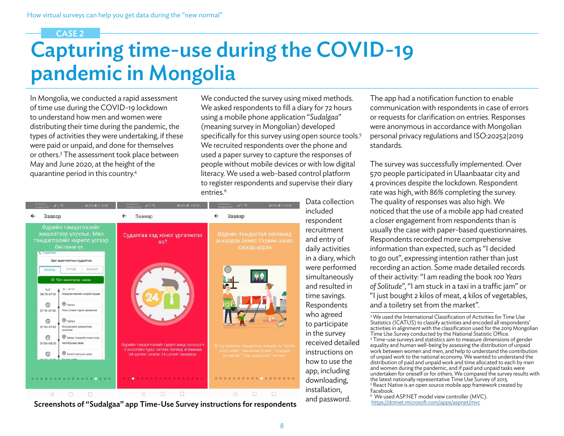#### CASE 2

# Capturing time-use during the COVID-19 pandemic in Mongolia

In Mongolia, we conducted a rapid assessment of time use during the COVID-19 lockdown to understand how men and women were distributing their time during the pandemic, the types of activities they were undertaking, if these were paid or unpaid, and done for themselves or others.3 The assessment took place between May and June 2020, at the height of the quarantine period in this country.4

We conducted the survey using mixed methods. We asked respondents to fill a diary for 72 hours using a mobile phone application "*Sudalgaa*" (meaning survey in Mongolian) developed specifically for this survey using open source tools.<sup>5</sup> We recruited respondents over the phone and used a paper survey to capture the responses of people without mobile devices or with low digital literacy. We used a web-based control platform to register respondents and supervise their diary entries.<sup>6</sup>



Screenshots of "Sudalgaa" app Time-Use Survey instructions for respondents and password. [https://dotnet.microsoft.com/apps/aspnet/mvc](https://dotnet.microsoft.com/apps/aspnet/mvc )

The app had a notification function to enable communication with respondents in case of errors or requests for clarification on entries. Responses were anonymous in accordance with Mongolian personal privacy regulations and ISO:20252|2019 standards.

The survey was successfully implemented. Over 570 people participated in Ulaanbaatar city and 4 provinces despite the lockdown. Respondent rate was high, with 86% completing the survey. The quality of responses was also high. We noticed that the use of a mobile app had created a closer engagement from respondents than is usually the case with paper-based questionnaires. Respondents recorded more comprehensive information than expected, such as "I decided to go out", expressing intention rather than just recording an action. Some made detailed records of their activity: "I am reading the book *100 Years of Solitude*", "I am stuck in a taxi in a traffic jam'' or "I just bought 2 kilos of meat, 4 kilos of vegetables, and a toiletry set from the market".

<sup>3</sup> We used the International Classification of Activities for Time Use Statistics (ICATUS) to classify activities and encoded all respondents' activities in alignment with the classification used for the 2019 Mongolian Time Use Survey conducted by the National Statistic Office. 4 Time-use surveys and statistics aim to measure dimensions of gender equality and human well-being by assessing the distribution of unpaid work between women and men, and help to understand the contribution of unpaid work to the national economy. We wanted to understand the distribution of paid and unpaid work and time allocated to each by men and women during the pandemic, and if paid and unpaid tasks were undertaken for oneself or for others. We compared the survey results with the latest nationally representative Time Use Survey of 2015. <sup>5</sup> React Native is an open source mobile app framework created by Facebook.

6 We used ASP.NET model view controller (MVC).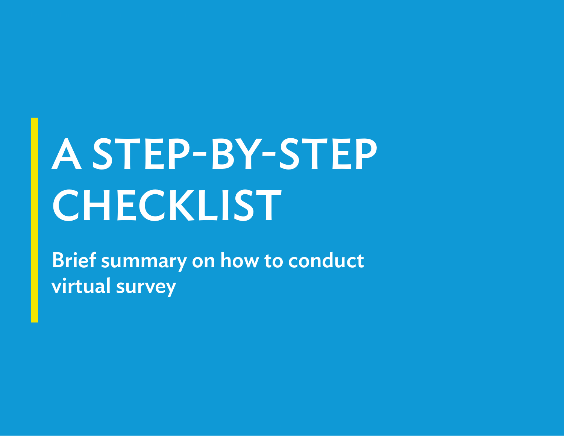# A STEP-BY-STEP **CHECKLIST**

Brief summary on how to conduct virtual survey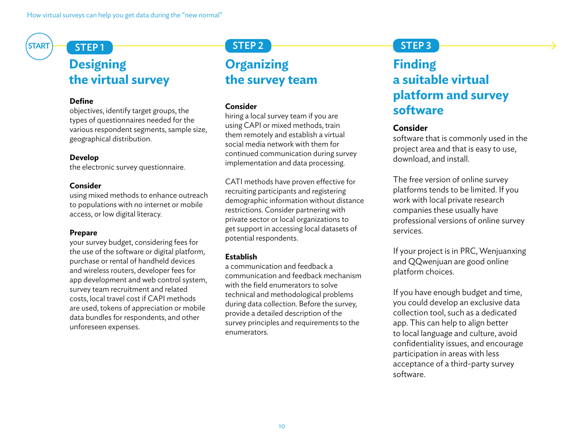# **Designing the virtual survey**

#### **Define**

objectives, identify target groups, the types of questionnaires needed for the various respondent segments, sample size, geographical distribution.

#### **Develop**

the electronic survey questionnaire.

#### **Consider**

using mixed methods to enhance outreach to populations with no internet or mobile access, or low digital literacy.

#### **Prepare**

your survey budget, considering fees for the use of the software or digital platform, purchase or rental of handheld devices and wireless routers, developer fees for app development and web control system, survey team recruitment and related costs, local travel cost if CAPI methods are used, tokens of appreciation or mobile data bundles for respondents, and other unforeseen expenses.

## $START$   $STEP1$   $STEP1$

## **Organizing the survey team**

#### **Consider**

hiring a local survey team if you are using CAPI or mixed methods, train them remotely and establish a virtual social media network with them for continued communication during survey implementation and data processing.

CATI methods have proven effective for recruiting participants and registering demographic information without distance restrictions. Consider partnering with private sector or local organizations to get support in accessing local datasets of potential respondents.

#### **Establish**

a communication and feedback a communication and feedback mechanism with the field enumerators to solve technical and methodological problems during data collection. Before the survey, provide a detailed description of the survey principles and requirements to the enumerators.

## STEP 3

# **Finding a suitable virtual platform and survey software**

#### **Consider**

software that is commonly used in the project area and that is easy to use, download, and install.

The free version of online survey platforms tends to be limited. If you work with local private research companies these usually have professional versions of online survey services.

If your project is in PRC, Wenjuanxing and QQwenjuan are good online platform choices.

If you have enough budget and time, you could develop an exclusive data collection tool, such as a dedicated app. This can help to align better to local language and culture, avoid confidentiality issues, and encourage participation in areas with less acceptance of a third-party survey software.